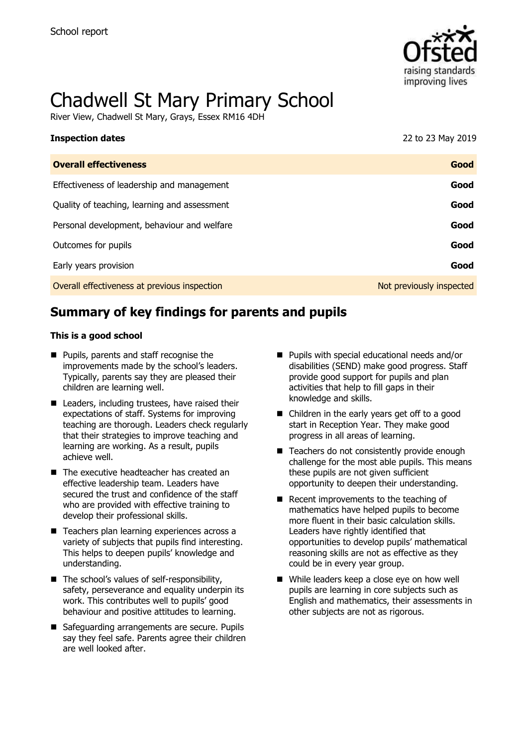

# Chadwell St Mary Primary School

River View, Chadwell St Mary, Grays, Essex RM16 4DH

| <b>Inspection dates</b>                      | 22 to 23 May 2019        |
|----------------------------------------------|--------------------------|
| <b>Overall effectiveness</b>                 | Good                     |
| Effectiveness of leadership and management   | Good                     |
| Quality of teaching, learning and assessment | Good                     |
| Personal development, behaviour and welfare  | Good                     |
| Outcomes for pupils                          | Good                     |
| Early years provision                        | Good                     |
| Overall effectiveness at previous inspection | Not previously inspected |

# **Summary of key findings for parents and pupils**

#### **This is a good school**

- **Pupils, parents and staff recognise the** improvements made by the school's leaders. Typically, parents say they are pleased their children are learning well.
- Leaders, including trustees, have raised their expectations of staff. Systems for improving teaching are thorough. Leaders check regularly that their strategies to improve teaching and learning are working. As a result, pupils achieve well.
- The executive headteacher has created an effective leadership team. Leaders have secured the trust and confidence of the staff who are provided with effective training to develop their professional skills.
- Teachers plan learning experiences across a variety of subjects that pupils find interesting. This helps to deepen pupils' knowledge and understanding.
- The school's values of self-responsibility, safety, perseverance and equality underpin its work. This contributes well to pupils' good behaviour and positive attitudes to learning.
- Safeguarding arrangements are secure. Pupils say they feel safe. Parents agree their children are well looked after.
- Pupils with special educational needs and/or disabilities (SEND) make good progress. Staff provide good support for pupils and plan activities that help to fill gaps in their knowledge and skills.
- Children in the early years get off to a good start in Reception Year. They make good progress in all areas of learning.
- Teachers do not consistently provide enough challenge for the most able pupils. This means these pupils are not given sufficient opportunity to deepen their understanding.
- Recent improvements to the teaching of mathematics have helped pupils to become more fluent in their basic calculation skills. Leaders have rightly identified that opportunities to develop pupils' mathematical reasoning skills are not as effective as they could be in every year group.
- While leaders keep a close eye on how well pupils are learning in core subjects such as English and mathematics, their assessments in other subjects are not as rigorous.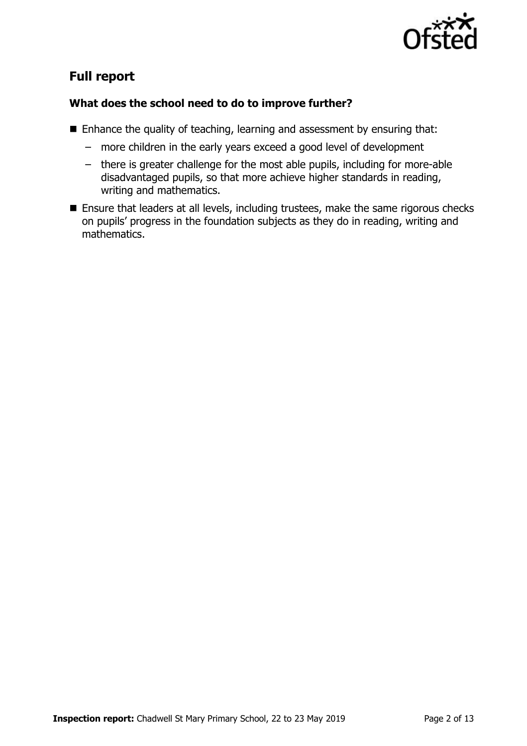

## **Full report**

#### **What does the school need to do to improve further?**

- Enhance the quality of teaching, learning and assessment by ensuring that:
	- more children in the early years exceed a good level of development
	- there is greater challenge for the most able pupils, including for more-able disadvantaged pupils, so that more achieve higher standards in reading, writing and mathematics.
- **Ensure that leaders at all levels, including trustees, make the same rigorous checks** on pupils' progress in the foundation subjects as they do in reading, writing and mathematics.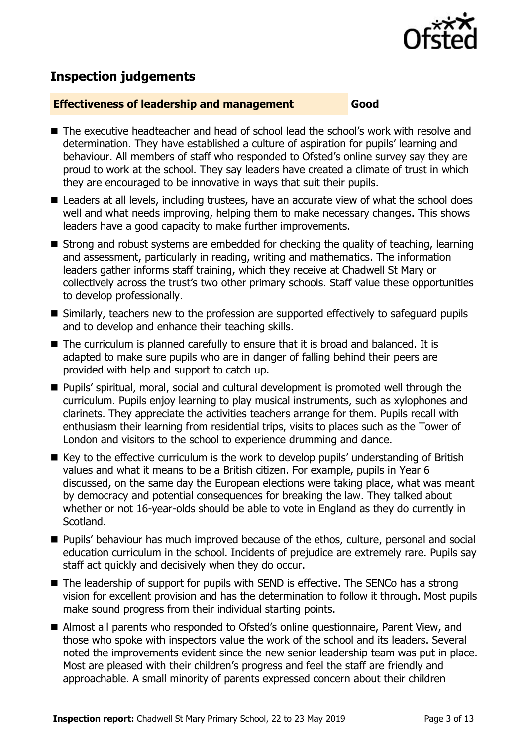

# **Inspection judgements**

#### **Effectiveness of leadership and management Good**

- The executive headteacher and head of school lead the school's work with resolve and determination. They have established a culture of aspiration for pupils' learning and behaviour. All members of staff who responded to Ofsted's online survey say they are proud to work at the school. They say leaders have created a climate of trust in which they are encouraged to be innovative in ways that suit their pupils.
- Leaders at all levels, including trustees, have an accurate view of what the school does well and what needs improving, helping them to make necessary changes. This shows leaders have a good capacity to make further improvements.
- Strong and robust systems are embedded for checking the quality of teaching, learning and assessment, particularly in reading, writing and mathematics. The information leaders gather informs staff training, which they receive at Chadwell St Mary or collectively across the trust's two other primary schools. Staff value these opportunities to develop professionally.
- Similarly, teachers new to the profession are supported effectively to safeguard pupils and to develop and enhance their teaching skills.
- The curriculum is planned carefully to ensure that it is broad and balanced. It is adapted to make sure pupils who are in danger of falling behind their peers are provided with help and support to catch up.
- Pupils' spiritual, moral, social and cultural development is promoted well through the curriculum. Pupils enjoy learning to play musical instruments, such as xylophones and clarinets. They appreciate the activities teachers arrange for them. Pupils recall with enthusiasm their learning from residential trips, visits to places such as the Tower of London and visitors to the school to experience drumming and dance.
- Key to the effective curriculum is the work to develop pupils' understanding of British values and what it means to be a British citizen. For example, pupils in Year 6 discussed, on the same day the European elections were taking place, what was meant by democracy and potential consequences for breaking the law. They talked about whether or not 16-year-olds should be able to vote in England as they do currently in Scotland.
- **Pupils' behaviour has much improved because of the ethos, culture, personal and social** education curriculum in the school. Incidents of prejudice are extremely rare. Pupils say staff act quickly and decisively when they do occur.
- The leadership of support for pupils with SEND is effective. The SENCo has a strong vision for excellent provision and has the determination to follow it through. Most pupils make sound progress from their individual starting points.
- Almost all parents who responded to Ofsted's online questionnaire, Parent View, and those who spoke with inspectors value the work of the school and its leaders. Several noted the improvements evident since the new senior leadership team was put in place. Most are pleased with their children's progress and feel the staff are friendly and approachable. A small minority of parents expressed concern about their children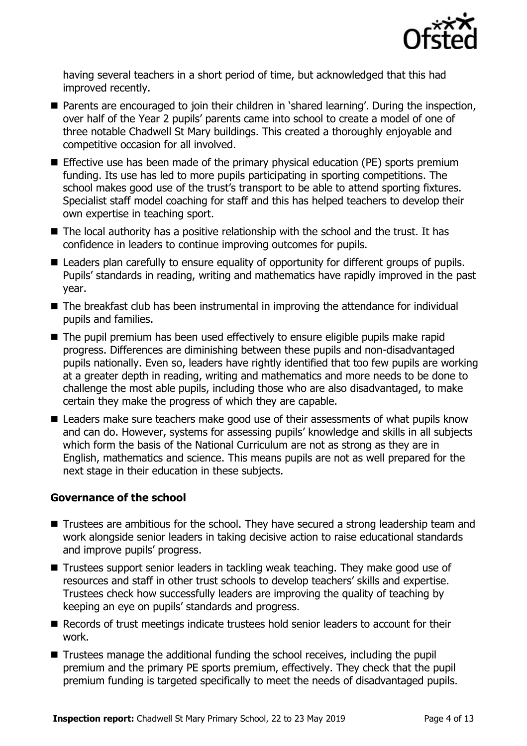

having several teachers in a short period of time, but acknowledged that this had improved recently.

- **Parents are encouraged to join their children in 'shared learning'. During the inspection,** over half of the Year 2 pupils' parents came into school to create a model of one of three notable Chadwell St Mary buildings. This created a thoroughly enjoyable and competitive occasion for all involved.
- Effective use has been made of the primary physical education (PE) sports premium funding. Its use has led to more pupils participating in sporting competitions. The school makes good use of the trust's transport to be able to attend sporting fixtures. Specialist staff model coaching for staff and this has helped teachers to develop their own expertise in teaching sport.
- $\blacksquare$  The local authority has a positive relationship with the school and the trust. It has confidence in leaders to continue improving outcomes for pupils.
- Leaders plan carefully to ensure equality of opportunity for different groups of pupils. Pupils' standards in reading, writing and mathematics have rapidly improved in the past year.
- The breakfast club has been instrumental in improving the attendance for individual pupils and families.
- The pupil premium has been used effectively to ensure eligible pupils make rapid progress. Differences are diminishing between these pupils and non-disadvantaged pupils nationally. Even so, leaders have rightly identified that too few pupils are working at a greater depth in reading, writing and mathematics and more needs to be done to challenge the most able pupils, including those who are also disadvantaged, to make certain they make the progress of which they are capable.
- Leaders make sure teachers make good use of their assessments of what pupils know and can do. However, systems for assessing pupils' knowledge and skills in all subjects which form the basis of the National Curriculum are not as strong as they are in English, mathematics and science. This means pupils are not as well prepared for the next stage in their education in these subjects.

#### **Governance of the school**

- Trustees are ambitious for the school. They have secured a strong leadership team and work alongside senior leaders in taking decisive action to raise educational standards and improve pupils' progress.
- Trustees support senior leaders in tackling weak teaching. They make good use of resources and staff in other trust schools to develop teachers' skills and expertise. Trustees check how successfully leaders are improving the quality of teaching by keeping an eye on pupils' standards and progress.
- Records of trust meetings indicate trustees hold senior leaders to account for their work.
- Trustees manage the additional funding the school receives, including the pupil premium and the primary PE sports premium, effectively. They check that the pupil premium funding is targeted specifically to meet the needs of disadvantaged pupils.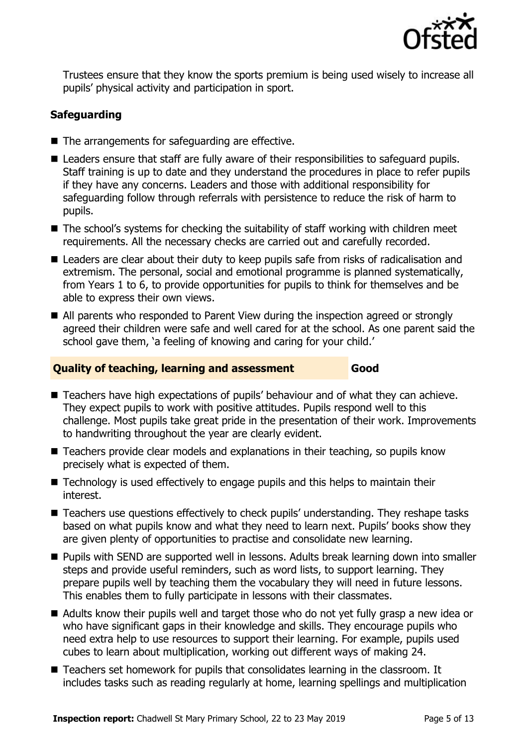

Trustees ensure that they know the sports premium is being used wisely to increase all pupils' physical activity and participation in sport.

### **Safeguarding**

- $\blacksquare$  The arrangements for safeguarding are effective.
- Leaders ensure that staff are fully aware of their responsibilities to safeguard pupils. Staff training is up to date and they understand the procedures in place to refer pupils if they have any concerns. Leaders and those with additional responsibility for safeguarding follow through referrals with persistence to reduce the risk of harm to pupils.
- The school's systems for checking the suitability of staff working with children meet requirements. All the necessary checks are carried out and carefully recorded.
- Leaders are clear about their duty to keep pupils safe from risks of radicalisation and extremism. The personal, social and emotional programme is planned systematically, from Years 1 to 6, to provide opportunities for pupils to think for themselves and be able to express their own views.
- All parents who responded to Parent View during the inspection agreed or strongly agreed their children were safe and well cared for at the school. As one parent said the school gave them, 'a feeling of knowing and caring for your child.'

#### **Quality of teaching, learning and assessment Good**

■ Teachers have high expectations of pupils' behaviour and of what they can achieve. They expect pupils to work with positive attitudes. Pupils respond well to this challenge. Most pupils take great pride in the presentation of their work. Improvements to handwriting throughout the year are clearly evident.

- Teachers provide clear models and explanations in their teaching, so pupils know precisely what is expected of them.
- Technology is used effectively to engage pupils and this helps to maintain their interest.
- Teachers use questions effectively to check pupils' understanding. They reshape tasks based on what pupils know and what they need to learn next. Pupils' books show they are given plenty of opportunities to practise and consolidate new learning.
- **Pupils with SEND are supported well in lessons. Adults break learning down into smaller** steps and provide useful reminders, such as word lists, to support learning. They prepare pupils well by teaching them the vocabulary they will need in future lessons. This enables them to fully participate in lessons with their classmates.
- Adults know their pupils well and target those who do not yet fully grasp a new idea or who have significant gaps in their knowledge and skills. They encourage pupils who need extra help to use resources to support their learning. For example, pupils used cubes to learn about multiplication, working out different ways of making 24.
- Teachers set homework for pupils that consolidates learning in the classroom. It includes tasks such as reading regularly at home, learning spellings and multiplication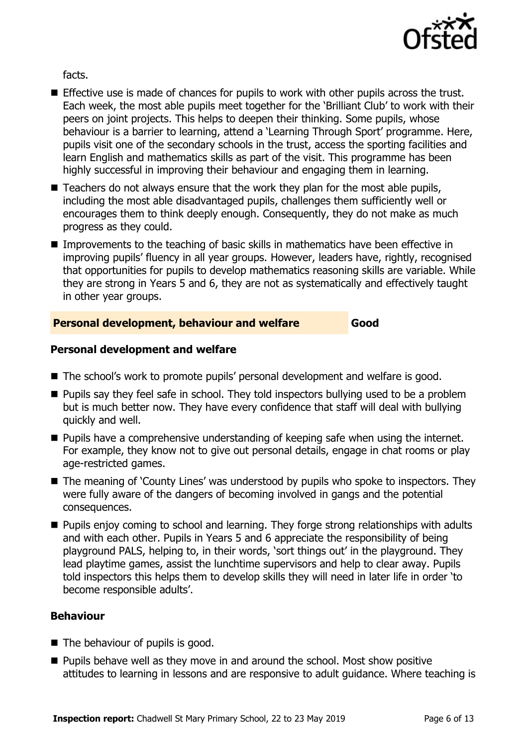

facts.

- **Effective use is made of chances for pupils to work with other pupils across the trust.** Each week, the most able pupils meet together for the 'Brilliant Club' to work with their peers on joint projects. This helps to deepen their thinking. Some pupils, whose behaviour is a barrier to learning, attend a 'Learning Through Sport' programme. Here, pupils visit one of the secondary schools in the trust, access the sporting facilities and learn English and mathematics skills as part of the visit. This programme has been highly successful in improving their behaviour and engaging them in learning.
- $\blacksquare$  Teachers do not always ensure that the work they plan for the most able pupils, including the most able disadvantaged pupils, challenges them sufficiently well or encourages them to think deeply enough. Consequently, they do not make as much progress as they could.
- **IMPROMERTY IMPORTED IN THE EXAM** In Mathematics have been effective in improving pupils' fluency in all year groups. However, leaders have, rightly, recognised that opportunities for pupils to develop mathematics reasoning skills are variable. While they are strong in Years 5 and 6, they are not as systematically and effectively taught in other year groups.

#### **Personal development, behaviour and welfare Good**

#### **Personal development and welfare**

- The school's work to promote pupils' personal development and welfare is good.
- **Pupils say they feel safe in school. They told inspectors bullying used to be a problem** but is much better now. They have every confidence that staff will deal with bullying quickly and well.
- **Pupils have a comprehensive understanding of keeping safe when using the internet.** For example, they know not to give out personal details, engage in chat rooms or play age-restricted games.
- The meaning of 'County Lines' was understood by pupils who spoke to inspectors. They were fully aware of the dangers of becoming involved in gangs and the potential consequences.
- **Pupils enjoy coming to school and learning. They forge strong relationships with adults** and with each other. Pupils in Years 5 and 6 appreciate the responsibility of being playground PALS, helping to, in their words, 'sort things out' in the playground. They lead playtime games, assist the lunchtime supervisors and help to clear away. Pupils told inspectors this helps them to develop skills they will need in later life in order 'to become responsible adults'.

#### **Behaviour**

- The behaviour of pupils is good.
- **Pupils behave well as they move in and around the school. Most show positive** attitudes to learning in lessons and are responsive to adult guidance. Where teaching is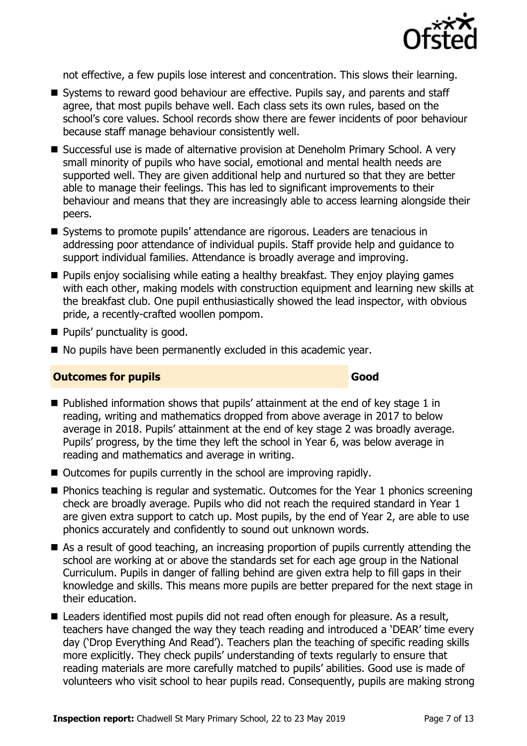

not effective, a few pupils lose interest and concentration. This slows their learning.

- Systems to reward good behaviour are effective. Pupils say, and parents and staff agree, that most pupils behave well. Each class sets its own rules, based on the school's core values. School records show there are fewer incidents of poor behaviour because staff manage behaviour consistently well.
- Successful use is made of alternative provision at Deneholm Primary School. A very small minority of pupils who have social, emotional and mental health needs are supported well. They are given additional help and nurtured so that they are better able to manage their feelings. This has led to significant improvements to their behaviour and means that they are increasingly able to access learning alongside their peers.
- Systems to promote pupils' attendance are rigorous. Leaders are tenacious in addressing poor attendance of individual pupils. Staff provide help and guidance to support individual families. Attendance is broadly average and improving.
- **Pupils enjoy socialising while eating a healthy breakfast. They enjoy playing games** with each other, making models with construction equipment and learning new skills at the breakfast club. One pupil enthusiastically showed the lead inspector, with obvious pride, a recently-crafted woollen pompom.
- **Pupils' punctuality is good.**
- No pupils have been permanently excluded in this academic year.

#### **Outcomes for pupils Good**

- $\blacksquare$  Published information shows that pupils' attainment at the end of key stage 1 in reading, writing and mathematics dropped from above average in 2017 to below average in 2018. Pupils' attainment at the end of key stage 2 was broadly average. Pupils' progress, by the time they left the school in Year 6, was below average in reading and mathematics and average in writing.
- Outcomes for pupils currently in the school are improving rapidly.
- **Phonics teaching is regular and systematic. Outcomes for the Year 1 phonics screening** check are broadly average. Pupils who did not reach the required standard in Year 1 are given extra support to catch up. Most pupils, by the end of Year 2, are able to use phonics accurately and confidently to sound out unknown words.
- As a result of good teaching, an increasing proportion of pupils currently attending the school are working at or above the standards set for each age group in the National Curriculum. Pupils in danger of falling behind are given extra help to fill gaps in their knowledge and skills. This means more pupils are better prepared for the next stage in their education.
- Leaders identified most pupils did not read often enough for pleasure. As a result, teachers have changed the way they teach reading and introduced a 'DEAR' time every day ('Drop Everything And Read'). Teachers plan the teaching of specific reading skills more explicitly. They check pupils' understanding of texts regularly to ensure that reading materials are more carefully matched to pupils' abilities. Good use is made of volunteers who visit school to hear pupils read. Consequently, pupils are making strong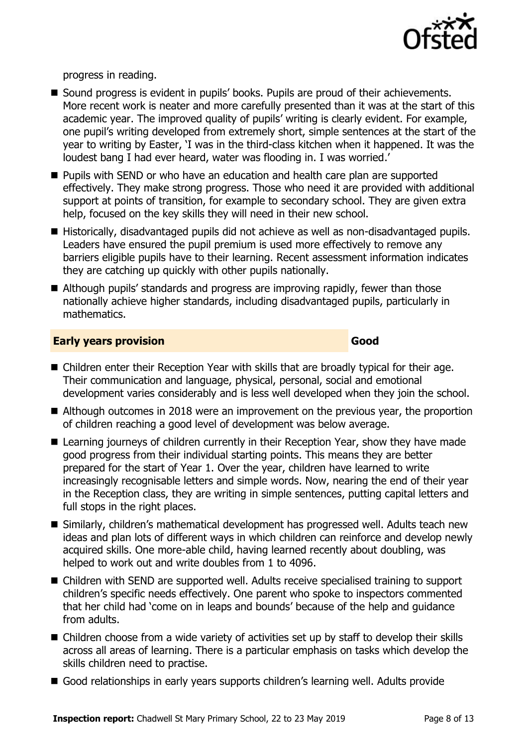

progress in reading.

- Sound progress is evident in pupils' books. Pupils are proud of their achievements. More recent work is neater and more carefully presented than it was at the start of this academic year. The improved quality of pupils' writing is clearly evident. For example, one pupil's writing developed from extremely short, simple sentences at the start of the year to writing by Easter, 'I was in the third-class kitchen when it happened. It was the loudest bang I had ever heard, water was flooding in. I was worried.'
- **Pupils with SEND or who have an education and health care plan are supported** effectively. They make strong progress. Those who need it are provided with additional support at points of transition, for example to secondary school. They are given extra help, focused on the key skills they will need in their new school.
- Historically, disadvantaged pupils did not achieve as well as non-disadvantaged pupils. Leaders have ensured the pupil premium is used more effectively to remove any barriers eligible pupils have to their learning. Recent assessment information indicates they are catching up quickly with other pupils nationally.
- Although pupils' standards and progress are improving rapidly, fewer than those nationally achieve higher standards, including disadvantaged pupils, particularly in mathematics.

#### **Early years provision Good Good**

- Children enter their Reception Year with skills that are broadly typical for their age. Their communication and language, physical, personal, social and emotional development varies considerably and is less well developed when they join the school.
- Although outcomes in 2018 were an improvement on the previous year, the proportion of children reaching a good level of development was below average.
- Learning journeys of children currently in their Reception Year, show they have made good progress from their individual starting points. This means they are better prepared for the start of Year 1. Over the year, children have learned to write increasingly recognisable letters and simple words. Now, nearing the end of their year in the Reception class, they are writing in simple sentences, putting capital letters and full stops in the right places.
- Similarly, children's mathematical development has progressed well. Adults teach new ideas and plan lots of different ways in which children can reinforce and develop newly acquired skills. One more-able child, having learned recently about doubling, was helped to work out and write doubles from 1 to 4096.
- Children with SEND are supported well. Adults receive specialised training to support children's specific needs effectively. One parent who spoke to inspectors commented that her child had 'come on in leaps and bounds' because of the help and guidance from adults.
- Children choose from a wide variety of activities set up by staff to develop their skills across all areas of learning. There is a particular emphasis on tasks which develop the skills children need to practise.
- Good relationships in early vears supports children's learning well. Adults provide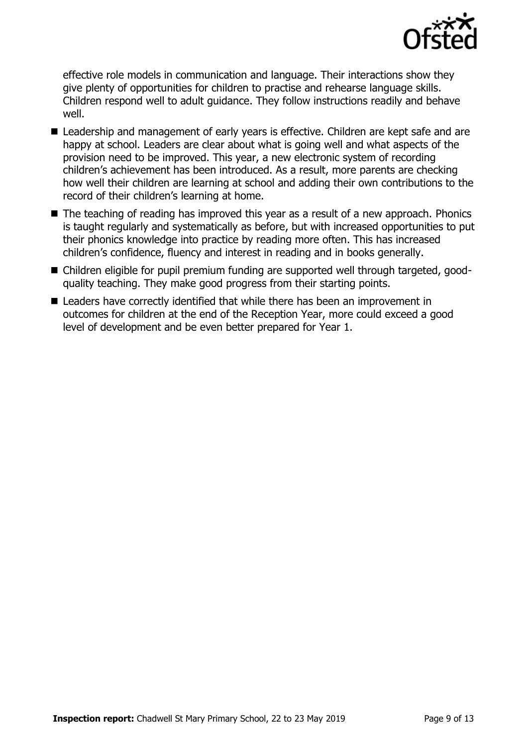

effective role models in communication and language. Their interactions show they give plenty of opportunities for children to practise and rehearse language skills. Children respond well to adult guidance. They follow instructions readily and behave well.

- Leadership and management of early years is effective. Children are kept safe and are happy at school. Leaders are clear about what is going well and what aspects of the provision need to be improved. This year, a new electronic system of recording children's achievement has been introduced. As a result, more parents are checking how well their children are learning at school and adding their own contributions to the record of their children's learning at home.
- The teaching of reading has improved this year as a result of a new approach. Phonics is taught regularly and systematically as before, but with increased opportunities to put their phonics knowledge into practice by reading more often. This has increased children's confidence, fluency and interest in reading and in books generally.
- Children eligible for pupil premium funding are supported well through targeted, goodquality teaching. They make good progress from their starting points.
- Leaders have correctly identified that while there has been an improvement in outcomes for children at the end of the Reception Year, more could exceed a good level of development and be even better prepared for Year 1.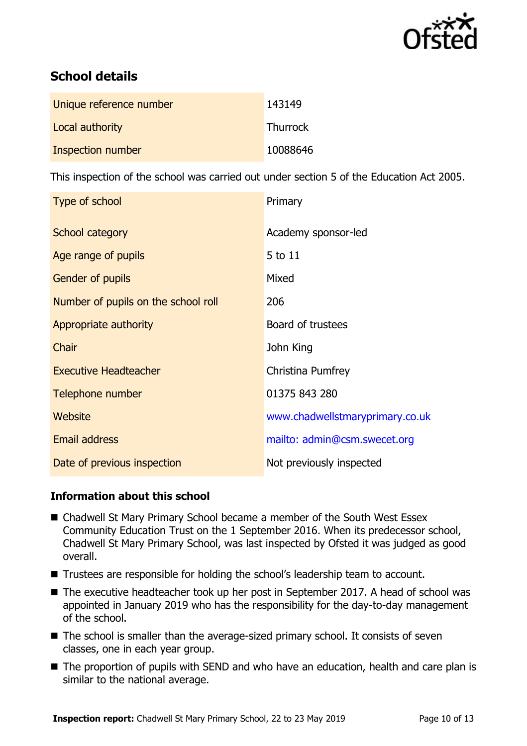

# **School details**

| Unique reference number | 143149          |
|-------------------------|-----------------|
| Local authority         | <b>Thurrock</b> |
| Inspection number       | 10088646        |

This inspection of the school was carried out under section 5 of the Education Act 2005.

| Type of school                      | Primary                         |
|-------------------------------------|---------------------------------|
| School category                     | Academy sponsor-led             |
| Age range of pupils                 | 5 to 11                         |
| <b>Gender of pupils</b>             | Mixed                           |
| Number of pupils on the school roll | 206                             |
| Appropriate authority               | Board of trustees               |
| Chair                               | John King                       |
| <b>Executive Headteacher</b>        | Christina Pumfrey               |
| Telephone number                    | 01375 843 280                   |
| Website                             | www.chadwellstmaryprimary.co.uk |
| <b>Email address</b>                | mailto: admin@csm.swecet.org    |
| Date of previous inspection         | Not previously inspected        |

#### **Information about this school**

- Chadwell St Mary Primary School became a member of the South West Essex Community Education Trust on the 1 September 2016. When its predecessor school, Chadwell St Mary Primary School, was last inspected by Ofsted it was judged as good overall.
- Trustees are responsible for holding the school's leadership team to account.
- The executive headteacher took up her post in September 2017. A head of school was appointed in January 2019 who has the responsibility for the day-to-day management of the school.
- The school is smaller than the average-sized primary school. It consists of seven classes, one in each year group.
- The proportion of pupils with SEND and who have an education, health and care plan is similar to the national average.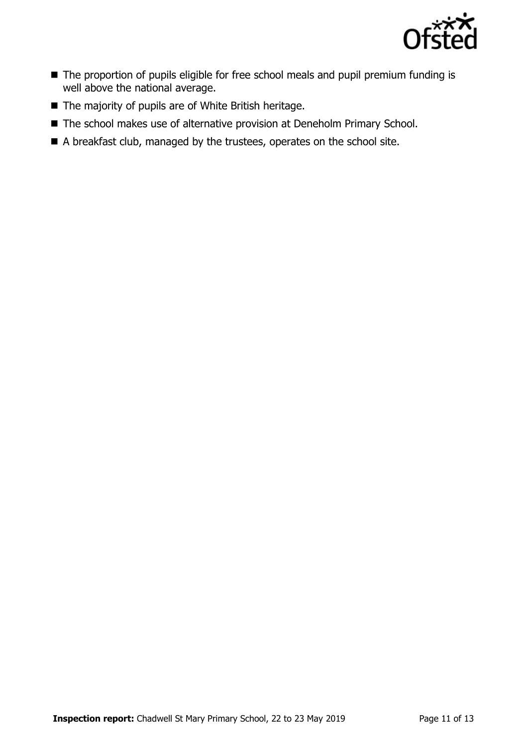

- The proportion of pupils eligible for free school meals and pupil premium funding is well above the national average.
- The majority of pupils are of White British heritage.
- The school makes use of alternative provision at Deneholm Primary School.
- A breakfast club, managed by the trustees, operates on the school site.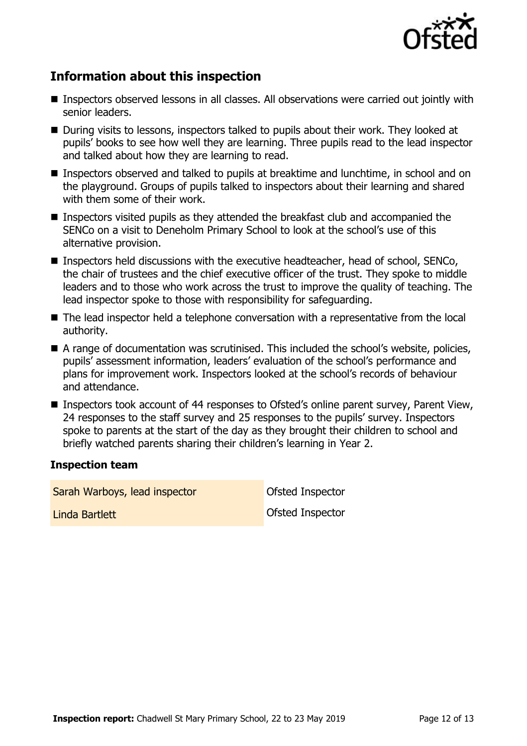

# **Information about this inspection**

- Inspectors observed lessons in all classes. All observations were carried out jointly with senior leaders.
- During visits to lessons, inspectors talked to pupils about their work. They looked at pupils' books to see how well they are learning. Three pupils read to the lead inspector and talked about how they are learning to read.
- Inspectors observed and talked to pupils at breaktime and lunchtime, in school and on the playground. Groups of pupils talked to inspectors about their learning and shared with them some of their work.
- Inspectors visited pupils as they attended the breakfast club and accompanied the SENCo on a visit to Deneholm Primary School to look at the school's use of this alternative provision.
- Inspectors held discussions with the executive headteacher, head of school, SENCo, the chair of trustees and the chief executive officer of the trust. They spoke to middle leaders and to those who work across the trust to improve the quality of teaching. The lead inspector spoke to those with responsibility for safeguarding.
- The lead inspector held a telephone conversation with a representative from the local authority.
- A range of documentation was scrutinised. This included the school's website, policies, pupils' assessment information, leaders' evaluation of the school's performance and plans for improvement work. Inspectors looked at the school's records of behaviour and attendance.
- Inspectors took account of 44 responses to Ofsted's online parent survey, Parent View, 24 responses to the staff survey and 25 responses to the pupils' survey. Inspectors spoke to parents at the start of the day as they brought their children to school and briefly watched parents sharing their children's learning in Year 2.

#### **Inspection team**

Sarah Warboys, lead inspector **Caracter Constant Constant** Ofsted Inspector

Linda Bartlett Ofsted Inspector